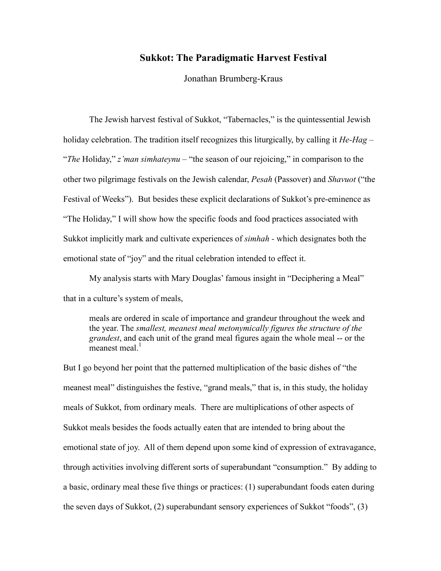# **Sukkot: The Paradigmatic Harvest Festival**

Jonathan Brumberg-Kraus

The Jewish harvest festival of Sukkot, "Tabernacles," is the quintessential Jewish holiday celebration. The tradition itself recognizes this liturgically, by calling it  $He-Hag$  – "The Holiday," z'man simhateynu – "the season of our rejoicing," in comparison to the other two pilgrimage festivals on the Jewish calendar, *Pesah* (Passover) and *Shavuot* ("the Festival of Weeks"). But besides these explicit declarations of Sukkot's pre-eminence as "The Holiday," I will show how the specific foods and food practices associated with Sukkot implicitly mark and cultivate experiences of *simhah* - which designates both the emotional state of "joy" and the ritual celebration intended to effect it.

My analysis starts with Mary Douglas' famous insight in "Deciphering a Meal" that in a culture's system of meals,

meals are ordered in scale of importance and grandeur throughout the week and the year. The *smallest, meanest meal metonymically figures the structure of the grandest*, and each unit of the grand meal figures again the whole meal -- or the meanest meal.<sup>1</sup>

But I go beyond her point that the patterned multiplication of the basic dishes of "the meanest meal" distinguishes the festive, "grand meals," that is, in this study, the holiday meals of Sukkot, from ordinary meals. There are multiplications of other aspects of Sukkot meals besides the foods actually eaten that are intended to bring about the emotional state of joy. All of them depend upon some kind of expression of extravagance, through activities involving different sorts of superabundant "consumption." By adding to a basic, ordinary meal these five things or practices: (1) superabundant foods eaten during the seven days of Sukkot, (2) superabundant sensory experiences of Sukkot "foods", (3)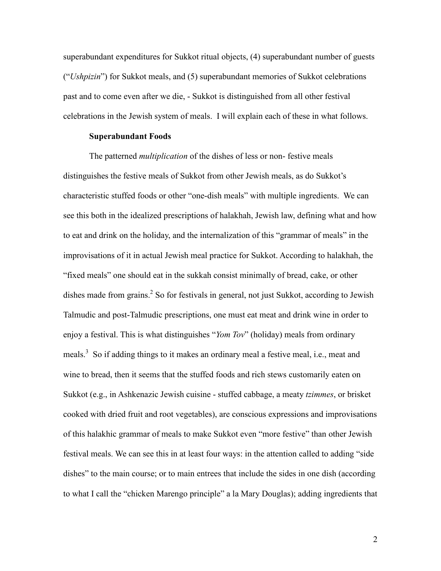superabundant expenditures for Sukkot ritual objects, (4) superabundant number of guests "("*Ushpizin*") for Sukkot meals, and (5) superabundant memories of Sukkot celebrations past and to come even after we die, - Sukkot is distinguished from all other festival celebrations in the Jewish system of meals. I will explain each of these in what follows.

#### **Superabundant Foods**

The patterned *multiplication* of the dishes of less or non-festive meals distinguishes the festive meals of Sukkot from other Jewish meals, as do Sukkot's characteristic stuffed foods or other "one-dish meals" with multiple ingredients. We can see this both in the idealized prescriptions of halakhah, Jewish law, defining what and how to eat and drink on the holiday, and the internalization of this "grammar of meals" in the improvisations of it in actual Jewish meal practice for Sukkot. According to halakhah, the "fixed meals" one should eat in the sukkah consist minimally of bread, cake, or other dishes made from grains.<sup>2</sup> So for festivals in general, not just Sukkot, according to Jewish Talmudic and post-Talmudic prescriptions, one must eat meat and drink wine in order to enjoy a festival. This is what distinguishes "*Yom Tov*" (holiday) meals from ordinary meals.<sup>3</sup> So if adding things to it makes an ordinary meal a festive meal, i.e., meat and wine to bread, then it seems that the stuffed foods and rich stews customarily eaten on Sukkot (e.g., in Ashkenazic Jewish cuisine - stuffed cabbage, a meaty *tzimmes*, or brisket cooked with dried fruit and root vegetables), are conscious expressions and improvisations of this halakhic grammar of meals to make Sukkot even "more festive" than other Jewish festival meals. We can see this in at least four ways: in the attention called to adding "side" dishes" to the main course; or to main entrees that include the sides in one dish (according to what I call the "chicken Marengo principle" a la Mary Douglas); adding ingredients that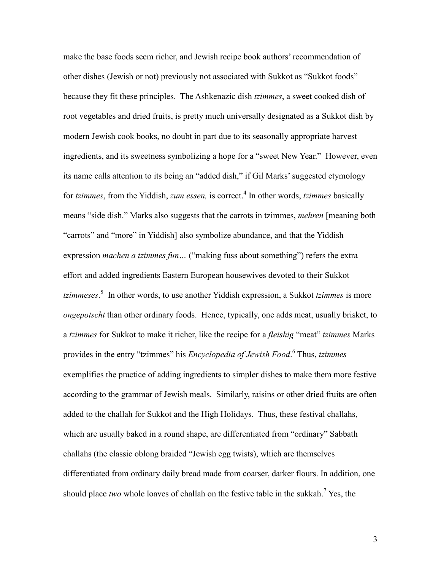make the base foods seem richer, and Jewish recipe book authors' recommendation of other dishes (Jewish or not) previously not associated with Sukkot as "Sukkot foods" because they fit these principles. The Ashkenazic dish *tzimmes*, a sweet cooked dish of root vegetables and dried fruits, is pretty much universally designated as a Sukkot dish by modern Jewish cook books, no doubt in part due to its seasonally appropriate harvest ingredients, and its sweetness symbolizing a hope for a "sweet New Year." However, even its name calls attention to its being an "added dish," if Gil Marks' suggested etymology for *tzimmes*, from the Yiddish, *zum essen*, is correct.<sup>4</sup> In other words, *tzimmes* basically means "side dish." Marks also suggests that the carrots in tzimmes, *mehren* [meaning both] "carrots" and "more" in Yiddish] also symbolize abundance, and that the Yiddish expression *machen a tzimmes fun*... ("making fuss about something") refers the extra effort and added ingredients Eastern European housewives devoted to their Sukkot *tzimmeses*.<sup>5</sup> In other words, to use another Yiddish expression, a Sukkot *tzimmes* is more *ongepotscht* than other ordinary foods. Hence, typically, one adds meat, usually brisket, to a *tzimmes* for Sukkot to make it richer, like the recipe for a *fleishig* "meat" *tzimmes* Marks provides in the entry "tzimmes" his *Encyclopedia of Jewish Food*.<sup>6</sup> Thus, *tzimmes* exemplifies the practice of adding ingredients to simpler dishes to make them more festive according to the grammar of Jewish meals. Similarly, raisins or other dried fruits are often added to the challah for Sukkot and the High Holidays. Thus, these festival challahs, which are usually baked in a round shape, are differentiated from "ordinary" Sabbath challahs (the classic oblong braided "Jewish egg twists), which are themselves differentiated from ordinary daily bread made from coarser, darker flours. In addition, one should place two whole loaves of challah on the festive table in the sukkah.<sup>7</sup> Yes, the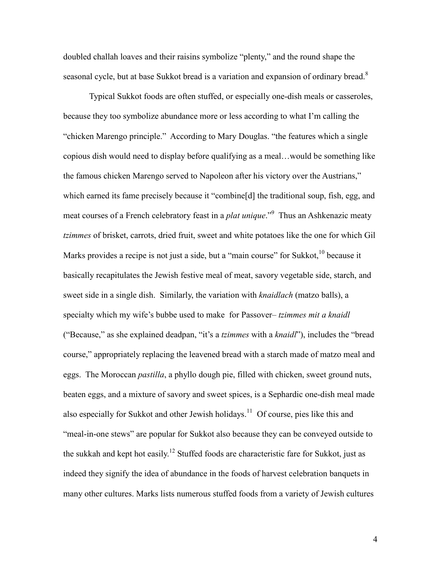doubled challah loaves and their raisins symbolize "plenty," and the round shape the seasonal cycle, but at base Sukkot bread is a variation and expansion of ordinary bread.<sup>8</sup>

Typical Sukkot foods are often stuffed, or especially one-dish meals or casseroles, because they too symbolize abundance more or less according to what I'm calling the "chicken Marengo principle." According to Mary Douglas. "the features which a single copious dish would need to display before qualifying as a meal... would be something like the famous chicken Marengo served to Napoleon after his victory over the Austrians," which earned its fame precisely because it "combine[d] the traditional soup, fish, egg, and meat courses of a French celebratory feast in a *plat unique*."<sup>9</sup> Thus an Ashkenazic meaty tzimmes of brisket, carrots, dried fruit, sweet and white potatoes like the one for which Gil Marks provides a recipe is not just a side, but a "main course" for Sukkot, <sup>10</sup> because it basically recapitulates the Jewish festive meal of meat, savory vegetable side, starch, and sweet side in a single dish. Similarly, the variation with *knaidlach* (matzo balls), a specialty which my wife's bubbe used to make for Passover-tzimmes mit a knaidl ("Because," as she explained deadpan, "it's a *tzimmes* with a *knaidl*"), includes the "bread" course," appropriately replacing the leavened bread with a starch made of matzo meal and eggs. The Moroccan *pastilla*, a phyllo dough pie, filled with chicken, sweet ground nuts, beaten eggs, and a mixture of savory and sweet spices, is a Sephardic one-dish meal made also especially for Sukkot and other Jewish holidays.<sup>11</sup> Of course, pies like this and "meal-in-one stews" are popular for Sukkot also because they can be conveyed outside to the sukkah and kept hot easily.<sup>12</sup> Stuffed foods are characteristic fare for Sukkot, just as indeed they signify the idea of abundance in the foods of harvest celebration banquets in many other cultures. Marks lists numerous stuffed foods from a variety of Jewish cultures

 $\overline{4}$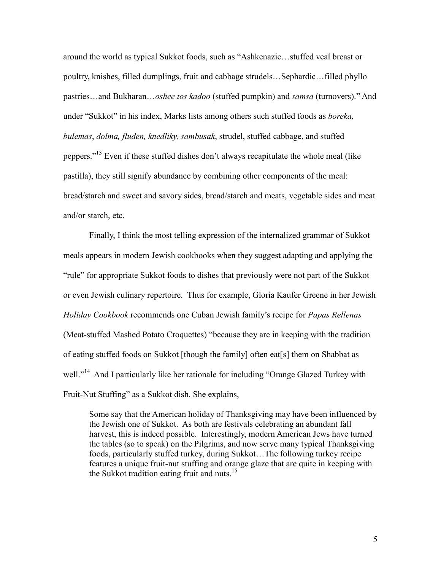around the world as typical Sukkot foods, such as "Ashkenazic...stuffed veal breast or poultry, knishes, filled dumplings, fruit and cabbage strudels...Sephardic...filled phyllo pastries...and Bukharan...oshee tos kadoo (stuffed pumpkin) and samsa (turnovers)." And under "Sukkot" in his index, Marks lists among others such stuffed foods as *boreka*, bulemas, dolma, fluden, knedliky, sambusak, strudel, stuffed cabbage, and stuffed peppers."<sup>13</sup> Even if these stuffed dishes don't always recapitulate the whole meal (like pastilla), they still signify abundance by combining other components of the meal: bread/starch and sweet and savory sides, bread/starch and meats, vegetable sides and meat and/or starch, etc.

Finally, I think the most telling expression of the internalized grammar of Sukkot meals appears in modern Jewish cookbooks when they suggest adapting and applying the "rule" for appropriate Sukkot foods to dishes that previously were not part of the Sukkot or even Jewish culinary repertoire. Thus for example, Gloria Kaufer Greene in her Jewish Holiday Cookbook recommends one Cuban Jewish family's recipe for Papas Rellenas (Meat-stuffed Mashed Potato Croquettes) "because they are in keeping with the tradition of eating stuffed foods on Sukkot [though the family] often eat[s] them on Shabbat as well."<sup>14</sup> And I particularly like her rationale for including "Orange Glazed Turkey with Fruit-Nut Stuffing" as a Sukkot dish. She explains,

Some say that the American holiday of Thanksgiving may have been influenced by the Jewish one of Sukkot. As both are festivals celebrating an abundant fall harvest, this is indeed possible. Interestingly, modern American Jews have turned the tables (so to speak) on the Pilgrims, and now serve many typical Thanksgiving foods, particularly stuffed turkey, during Sukkot...The following turkey recipe features a unique fruit-nut stuffing and orange glaze that are quite in keeping with the Sukkot tradition eating fruit and nuts.<sup>15</sup>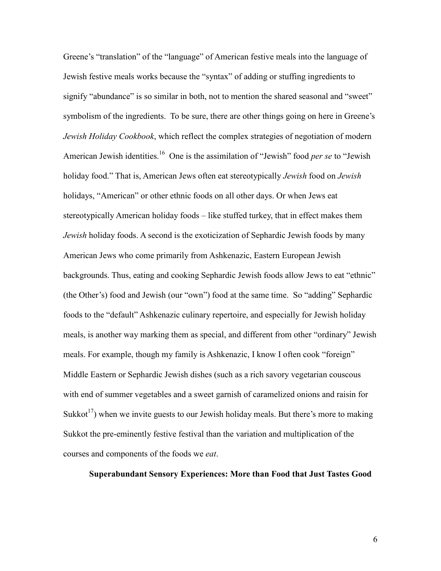Greene's "translation" of the "language" of American festive meals into the language of Jewish festive meals works because the "syntax" of adding or stuffing ingredients to signify "abundance" is so similar in both, not to mention the shared seasonal and "sweet" symbolism of the ingredients. To be sure, there are other things going on here in Greene's Jewish Holiday Cookbook, which reflect the complex strategies of negotiation of modern American Jewish identities.<sup>16</sup> One is the assimilation of "Jewish" food *per se* to "Jewish" holiday food." That is, American Jews often eat stereotypically *Jewish* food on *Jewish* holidays, "American" or other ethnic foods on all other days. Or when Jews eat stereotypically American holiday foods – like stuffed turkey, that in effect makes them Jewish holiday foods. A second is the exoticization of Sephardic Jewish foods by many American Jews who come primarily from Ashkenazic, Eastern European Jewish backgrounds. Thus, eating and cooking Sephardic Jewish foods allow Jews to eat "ethnic" (the Other's) food and Jewish (our "own") food at the same time. So "adding" Sephardic foods to the "default" Ashkenazic culinary repertoire, and especially for Jewish holiday meals, is another way marking them as special, and different from other "ordinary" Jewish meals. For example, though my family is Ashkenazic, I know I often cook "foreign" Middle Eastern or Sephardic Jewish dishes (such as a rich savory vegetarian couscous with end of summer vegetables and a sweet garnish of caramelized onions and raisin for Sukkot<sup>17</sup>) when we invite guests to our Jewish holiday meals. But there's more to making Sukkot the pre-eminently festive festival than the variation and multiplication of the courses and components of the foods we *eat*.

**Superabundant Sensory Experiences: More than Food that Just Tastes Good**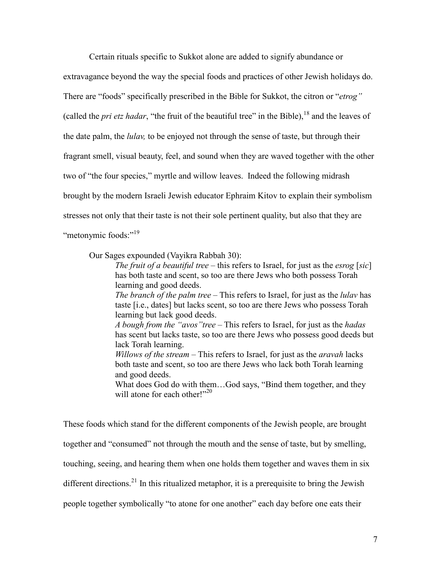Certain rituals specific to Sukkot alone are added to signify abundance or extravagance beyond the way the special foods and practices of other Jewish holidays do. There are "foods" specifically prescribed in the Bible for Sukkot, the citron or "etrog" (called the *pri etz hadar*, "the fruit of the beautiful tree" in the Bible), <sup>18</sup> and the leaves of the date palm, the *lulay*, to be enjoyed not through the sense of taste, but through their fragrant smell, visual beauty, feel, and sound when they are waved together with the other two of "the four species," myrtle and willow leaves. Indeed the following midrash brought by the modern Israeli Jewish educator Ephraim Kitov to explain their symbolism stresses not only that their taste is not their sole pertinent quality, but also that they are "metonymic foods:"<sup>19</sup>

Our Sages expounded (Vayikra Rabbah 30):

The fruit of a beautiful tree – this refers to Israel, for just as the esrog [sic] has both taste and scent, so too are there Jews who both possess Torah learning and good deeds. The branch of the palm tree – This refers to Israel, for just as the *lulav* has

taste [i.e., dates] but lacks scent, so too are there Jews who possess Torah learning but lack good deeds.

A bough from the "avos" tree – This refers to Israel, for just as the hadas has scent but lacks taste, so too are there Jews who possess good deeds but lack Torah learning.

Willows of the stream – This refers to Israel, for just as the aravah lacks both taste and scent, so too are there Jews who lack both Torah learning and good deeds.

What does God do with them...God says, "Bind them together, and they will atone for each other!" $^{20}$ 

These foods which stand for the different components of the Jewish people, are brought together and "consumed" not through the mouth and the sense of taste, but by smelling, touching, seeing, and hearing them when one holds them together and waves them in six different directions.<sup>21</sup> In this ritualized metaphor, it is a prerequisite to bring the Jewish people together symbolically "to atone for one another" each day before one eats their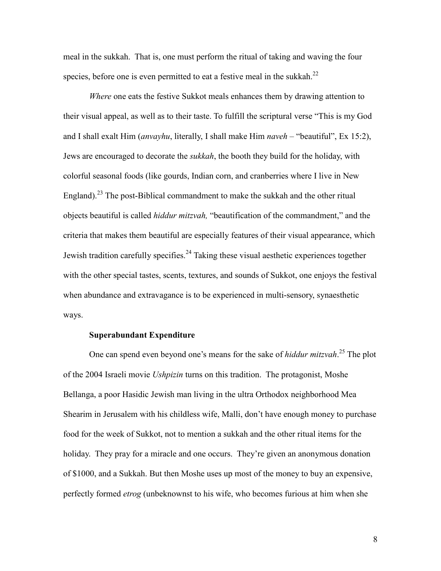.hakkum meal in the sukkah. That is, one must perform the ritual of taking and waving the four species, before one is even permitted to eat a festive meal in the sukkah.<sup>22</sup>

*Where* one eats the festive Sukkot meals enhances them by drawing attention to their visual appeal, as well as to their taste. To fulfill the scriptural verse "This is my God and I shall exalt Him (*anvayhu*, literally, I shall make Him *naveh* – "beautiful", Ex 15:2), Jews are encouraged to decorate the *sukkah*, the booth they build for the holiday, with colorful seasonal foods (like gourds, Indian corn, and cranberries where I live in New England).<sup>23</sup> The post-Biblical commandment to make the sukkah and the other ritual objects beautiful is called *hiddur mitzvah*, "beautification of the commandment," and the criteria that makes them beautiful are especially features of their visual appearance, which Jewish tradition carefully specifies.<sup>24</sup> Taking these visual aesthetic experiences together with the other special tastes, scents, textures, and sounds of Sukkot, one enjoys the festival when abundance and extravagance is to be experienced in multi-sensory, synaes the tic ways.

#### $B$  **superabundant Expenditure**

One can spend even beyond one's means for the sake of *hiddur mitzvah*.<sup>25</sup> The plot of the 2004 Israeli movie *Ushpizin* turns on this tradition. The protagonist, Moshe Bellanga, a poor Hasidic Jewish man living in the ultra Orthodox neighborhood Mea Shearim in Jerusalem with his childless wife, Malli, don't have enough money to purchase food for the week of Sukkot, not to mention a sukkah and the other ritual items for the holiday. They pray for a miracle and one occurs. They're given an anonymous donation of \$1000, and a Sukkah. But then Moshe uses up most of the money to buy an expensive, perfectly formed *etrog* (unbeknownst to his wife, who becomes furious at him when she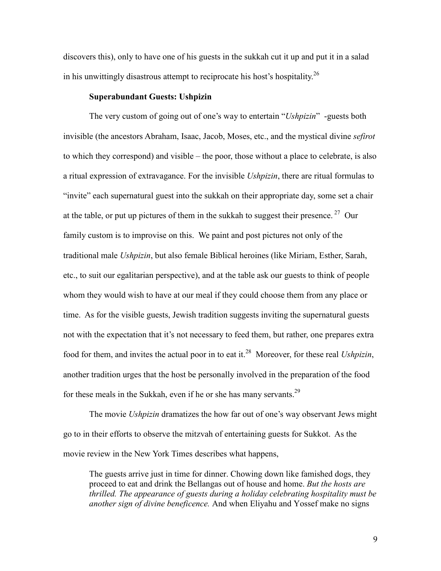discovers this), only to have one of his guests in the sukkah cut it up and put it in a salad in his unwittingly disastrous attempt to reciprocate his host's hospitality.<sup>26</sup>

# **Superabundant Guests: Ushpizin**

The very custom of going out of one's way to entertain "Ushpizin" -guests both invisible (the ancestors Abraham, Isaac, Jacob, Moses, etc., and the mystical divine sefirot to which they correspond) and visible – the poor, those without a place to celebrate, is also a ritual expression of extravagance. For the invisible *Ushpizin*, there are ritual formulas to "invite" each supernatural guest into the sukkah on their appropriate day, some set a chair at the table, or put up pictures of them in the sukkah to suggest their presence.<sup>27</sup> Our family custom is to improvise on this. We paint and post pictures not only of the traditional male *Ushpizin*, but also female Biblical heroines (like Miriam, Esther, Sarah, etc., to suit our egalitarian perspective), and at the table ask our guests to think of people whom they would wish to have at our meal if they could choose them from any place or time. As for the visible guests, Jewish tradition suggests inviting the supernatural guests not with the expectation that it's not necessary to feed them, but rather, one prepares extra food for them, and invites the actual poor in to eat it.<sup>28</sup> Moreover, for these real *Ushpizin*, another tradition urges that the host be personally involved in the preparation of the food for these meals in the Sukkah, even if he or she has many servants.<sup>29</sup>

The movie *Ushpizin* dramatizes the how far out of one's way observant Jews might go to in their efforts to observe the mitzvah of entertaining guests for Sukkot. As the movie review in the New York Times describes what happens,

The guests arrive just in time for dinner. Chowing down like famished dogs, they proceed to eat and drink the Bellangas out of house and home. But the hosts are thrilled. The appearance of guests during a holiday celebrating hospitality must be another sign of divine beneficence. And when Eliyahu and Yossef make no signs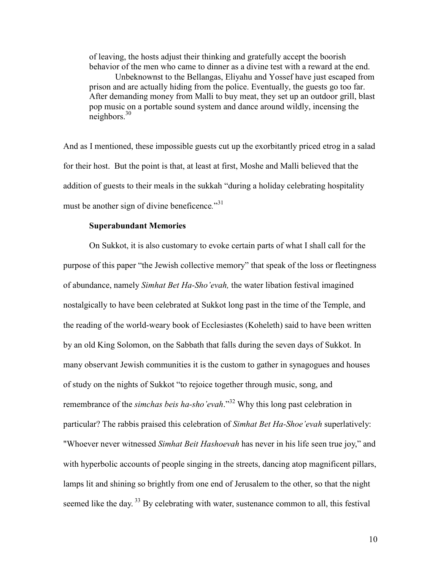of leaving, the hosts adjust their thinking and gratefully accept the boorish behavior of the men who came to dinner as a divine test with a reward at the end.

Unbeknownst to the Bellangas, Eliyahu and Yossef have just escaped from prison and are actually hiding from the police. Eventually, the guests go too far. After demanding money from Malli to buy meat, they set up an outdoor grill, blast pop music on a portable sound system and dance around wildly, incensing the  $neighbors<sup>30</sup>$ 

And as I mentioned, these impossible guests cut up the exorbitantly priced etrog in a salad for their host. But the point is that, at least at first, Moshe and Malli believed that the addition of guests to their meals in the sukkah "during a holiday celebrating hospitality must be another sign of divine beneficence."<sup>31</sup>

# **Superabundant Memories**

On Sukkot, it is also customary to evoke certain parts of what I shall call for the purpose of this paper "the Jewish collective memory" that speak of the loss or fleetingness of abundance, namely Simhat Bet Ha-Sho'evah, the water libation festival imagined nostalgically to have been celebrated at Sukkot long past in the time of the Temple, and the reading of the world-weary book of Ecclesiastes (Koheleth) said to have been written by an old King Solomon, on the Sabbath that falls during the seven days of Sukkot. In many observant Jewish communities it is the custom to gather in synagogues and houses of study on the nights of Sukkot "to rejoice together through music, song, and remembrance of the *simchas beis ha-sho'evah*."<sup>32</sup> Why this long past celebration in particular? The rabbis praised this celebration of Simhat Bet Ha-Shoe'evah superlatively: "Whoever never witnessed Simhat Beit Hashoevah has never in his life seen true joy," and with hyperbolic accounts of people singing in the streets, dancing atop magnificent pillars, lamps lit and shining so brightly from one end of Jerusalem to the other, so that the night seemed like the day.<sup>33</sup> By celebrating with water, sustenance common to all, this festival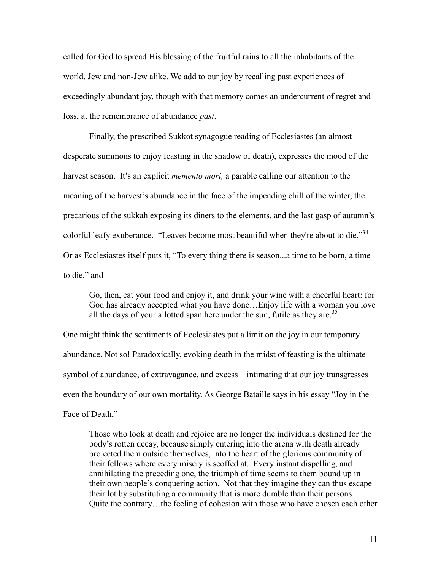called for God to spread His blessing of the fruitful rains to all the inhabitants of the world, Jew and non-Jew alike. We add to our joy by recalling past experiences of exceedingly abundant joy, though with that memory comes an undercurrent of regret and loss, at the remembrance of abundance *past*.

Finally, the prescribed Sukkot synagogue reading of Ecclesiastes (an almost desperate summons to enjoy feasting in the shadow of death), expresses the mood of the harvest season. It's an explicit *memento mori*, a parable calling our attention to the meaning of the harvest's abundance in the face of the impending chill of the winter, the precarious of the sukkah exposing its diners to the elements, and the last gasp of autumn's colorful leafy exuberance. "Leaves become most beautiful when they're about to die."34 Or as Ecclesiastes itself puts it, "To every thing there is season...a time to be born, a time to die," and

Go, then, eat your food and enjoy it, and drink your wine with a cheerful heart: for God has already accepted what you have done...Enjoy life with a woman you love all the days of your allotted span here under the sun, futile as they are.<sup>35</sup>

One might think the sentiments of Ecclesiastes put a limit on the joy in our temporary abundance. Not so! Paradoxically, evoking death in the midst of feasting is the ultimate symbol of abundance, of extravagance, and excess – intimating that our joy transgresses even the boundary of our own mortality. As George Bataille says in his essay "Joy in the Face of Death,"

Those who look at death and rejoice are no longer the individuals destined for the body's rotten decay, because simply entering into the arena with death already projected them outside themselves, into the heart of the glorious community of their fellows where every misery is scoffed at. Every instant dispelling, and annihilating the preceding one, the triumph of time seems to them bound up in their own people's conquering action. Not that they imagine they can thus escape their lot by substituting a community that is more durable than their persons. Quite the contrary...the feeling of cohesion with those who have chosen each other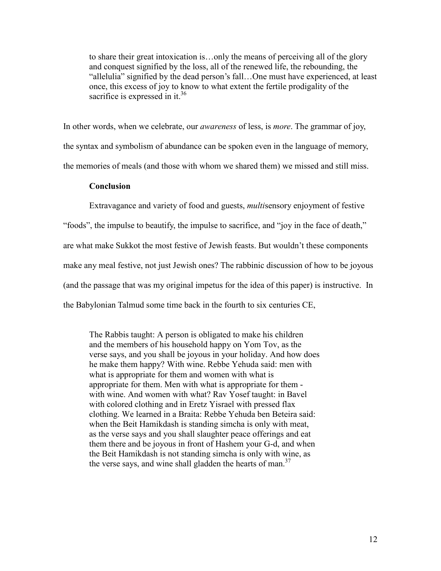to share their great intoxication is...only the means of perceiving all of the glory and conquest signified by the loss, all of the renewed life, the rebounding, the "allelulia" signified by the dead person's fall...One must have experienced, at least once, this excess of joy to know to what extent the fertile prodigality of the sacrifice is expressed in it.<sup>36</sup>

In other words, when we celebrate, our *awareness* of less, is *more*. The grammar of joy, the syntax and symbolism of abundance can be spoken even in the language of memory, the memories of meals (and those with whom we shared them) we missed and still miss.

#### **Conclusion**

Extravagance and variety of food and guests, *multisensory* enjoyment of festive "foods", the impulse to beautify, the impulse to sacrifice, and "joy in the face of death," are what make Sukkot the most festive of Jewish feasts. But wouldn't these components make any meal festive, not just Jewish ones? The rabbinic discussion of how to be joyous (and the passage that was my original impetus for the idea of this paper) is instructive. In the Babylonian Talmud some time back in the fourth to six centuries CE,

The Rabbis taught: A person is obligated to make his children and the members of his household happy on Yom Tov, as the verse says, and you shall be joyous in your holiday. And how does he make them happy? With wine. Rebbe Yehuda said: men with what is appropriate for them and women with what is appropriate for them. Men with what is appropriate for them with wine. And women with what? Ray Yosef taught: in Bavel with colored clothing and in Eretz Yisrael with pressed flax clothing. We learned in a Braita: Rebbe Yehuda ben Beteira said: when the Beit Hamikdash is standing simcha is only with meat, as the verse says and you shall slaughter peace offerings and eat them there and be joyous in front of Hashem your G-d, and when the Beit Hamikdash is not standing simcha is only with wine, as the verse says, and wine shall gladden the hearts of man.<sup>37</sup>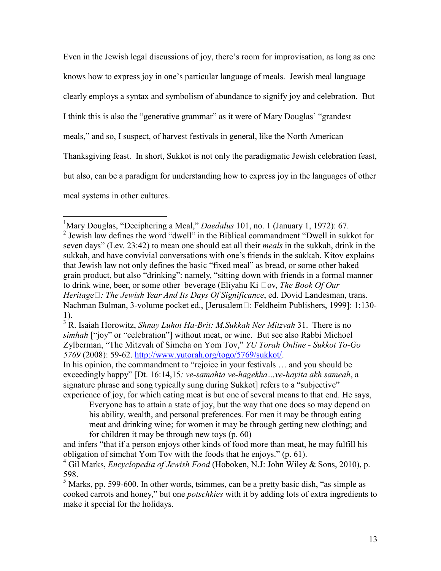Even in the Jewish legal discussions of joy, there's room for improvisation, as long as one knows how to express joy in one's particular language of meals. Jewish meal language clearly employs a syntax and symbolism of abundance to signify joy and celebration. But I think this is also the "generative grammar" as it were of Mary Douglas' "grandest" meals," and so, I suspect, of harvest festivals in general, like the North American Thanksgiving feast. In short, Sukkot is not only the paradigmatic Jewish celebration feast, but also, can be a paradigm for understanding how to express joy in the languages of other meal systems in other cultures.

<sup>&</sup>lt;sup>1</sup>Mary Douglas, "Deciphering a Meal," *Daedalus* 101, no. 1 (January 1, 1972): 67.  $2$  Jewish law defines the word "dwell" in the Biblical commandment "Dwell in sukkot for seven days" (Lev. 23:42) to mean one should eat all their *meals* in the sukkah, drink in the sukkah, and have convivial conversations with one's friends in the sukkah. Kitov explains that Jewish law not only defines the basic "fixed meal" as bread, or some other baked grain product, but also "drinking": namely, "sitting down with friends in a formal manner to drink wine, beer, or some other beverage (Eliyahu Ki  $\Box$ ov, *The Book Of Our* Heritage  $\Box$ : The Jewish Year And Its Days Of Significance, ed. Dovid Landesman, trans. Nachman Bulman, 3-volume pocket ed., [Jerusalem□: Feldheim Publishers, 1999]: 1:130- $1$ ).

 $\frac{3}{3}$ R. Isaiah Horowitz, Shnay Luhot Ha-Brit: M.Sukkah Ner Mitzvah 31. There is no simhah ["joy" or "celebration"] without meat, or wine. But see also Rabbi Michoel Zylberman, "The Mitzvah of Simcha on Yom Tov," YU Torah Online - Sukkot To-Go 5769 (2008): 59-62. http://www.yutorah.org/togo/5769/sukkot/.

In his opinion, the commandment to "rejoice in your festivals ... and you should be exceedingly happy" [Dt. 16:14,15: ve-samahta ve-hagekha...ve-hayita akh sameah, a signature phrase and song typically sung during Sukkot] refers to a "subjective" experience of joy, for which eating meat is but one of several means to that end. He says,

Everyone has to attain a state of joy, but the way that one does so may depend on his ability, wealth, and personal preferences. For men it may be through eating meat and drinking wine; for women it may be through getting new clothing; and for children it may be through new toys  $(p. 60)$ 

and infers "that if a person enjoys other kinds of food more than meat, he may fulfill his obligation of simchat Yom Tov with the foods that he enjoys." (p. 61).

<sup>&</sup>lt;sup>4</sup> Gil Marks, *Encyclopedia of Jewish Food* (Hoboken, N.J. John Wiley & Sons, 2010), p. 598

 $5$  Marks, pp. 599-600. In other words, tsimmes, can be a pretty basic dish, "as simple as cooked carrots and honey," but one *potschkies* with it by adding lots of extra ingredients to make it special for the holidays.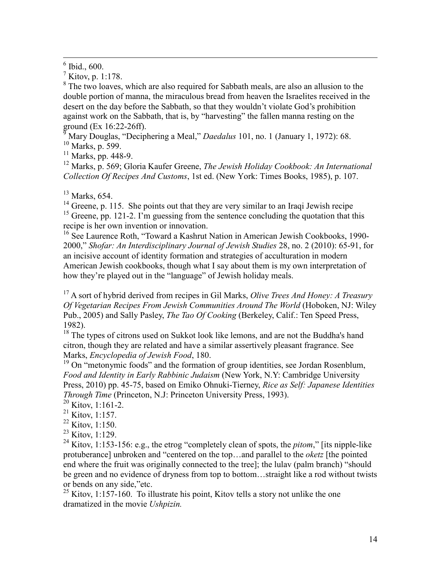<sup>8</sup> The two loaves, which are also required for Sabbath meals, are also an allusion to the double portion of manna, the miraculous bread from heaven the Israelites received in the desert on the day before the Sabbath, so that they wouldn't violate God's prohibition against work on the Sabbath, that is, by "harvesting" the fallen manna resting on the ground (Ex 16:22-26ff).<br><sup>9</sup> Mary Douglas, "Deciphering a Meal," *Daedalus* 101, no. 1 (January 1, 1972): 68.

 $\frac{10 \text{ Marks}}{Marks}$ , p. 599.

 $11$  Marks, pp. 448-9.

<sup>12</sup> Marks, p. 569; Gloria Kaufer Greene, *The Jewish Holiday Cookbook: An International* Collection Of Recipes And Customs, 1st ed. (New York: Times Books, 1985), p. 107.

 $13$  Marks, 654.

 $14$  Greene, p. 115. She points out that they are very similar to an Iraqi Jewish recipe

 $^{15}$  Greene, pp. 121-2. I'm guessing from the sentence concluding the quotation that this recipe is her own invention or innovation.

<sup>16</sup> See Laurence Roth, "Toward a Kashrut Nation in American Jewish Cookbooks, 1990-2000," Shofar: An Interdisciplinary Journal of Jewish Studies 28, no. 2 (2010): 65-91, for an incisive account of identity formation and strategies of acculturation in modern American Jewish cookbooks, though what I say about them is my own interpretation of how they're played out in the "language" of Jewish holiday meals.

<sup>17</sup> A sort of hybrid derived from recipes in Gil Marks, *Olive Trees And Honey: A Treasury* Of Vegetarian Recipes From Jewish Communities Around The World (Hoboken, NJ: Wiley Pub., 2005) and Sally Pasley, *The Tao Of Cooking* (Berkeley, Calif.: Ten Speed Press,  $1982$ ).

<sup>18</sup> The types of citrons used on Sukkot look like lemons, and are not the Buddha's hand citron, though they are related and have a similar assertively pleasant fragrance. See Marks, Encyclopedia of Jewish Food, 180.

 $19$  On "metonymic foods" and the formation of group identities, see Jordan Rosenblum, Food and Identity in Early Rabbinic Judaism (New York, N.Y. Cambridge University Press, 2010) pp. 45-75, based on Emiko Ohnuki-Tierney, Rice as Self: Japanese Identities Through Time (Princeton, N.J. Princeton University Press, 1993).

 $^{20}$  Kitov, 1:161-2.

 $^{21}$  Kitov, 1:157.

 $22$  Kitov, 1:150.

<sup>23</sup> Kitov, 1:129.

<sup>24</sup> Kitov, 1:153-156: e.g., the etrog "completely clean of spots, the *pitom*," [its nipple-like protuberance] unbroken and "centered on the top...and parallel to the *oketz* [the pointed] end where the fruit was originally connected to the tree]; the lulav (palm branch) "should be green and no evidence of dryness from top to bottom...straight like a rod without twists or bends on any side."etc.

 $^{25}$  Kitov, 1:157-160. To illustrate his point, Kitov tells a story not unlike the one dramatized in the movie *Ushpizin*.

 $6$  Ibid., 600.

 $^7$  Kitov, p. 1:178.